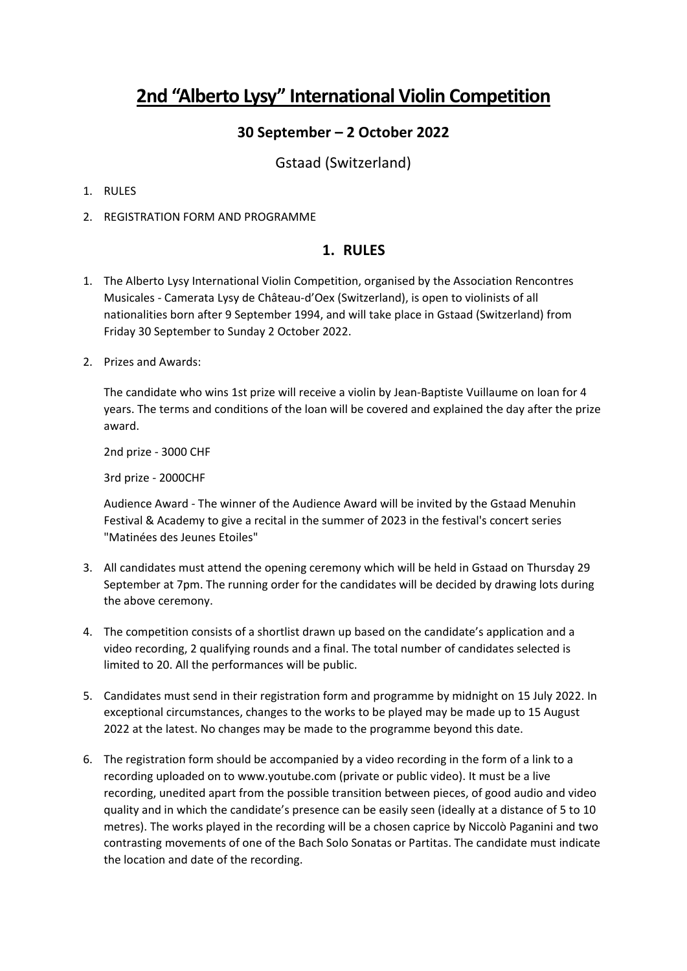# **2nd "Alberto Lysy" International Violin Competition**

## **30 September – 2 October 2022**

### Gstaad (Switzerland)

- 1. RULES
- 2. REGISTRATION FORM AND PROGRAMME

### **1. RULES**

- 1. The Alberto Lysy International Violin Competition, organised by the Association Rencontres Musicales - Camerata Lysy de Château-d'Oex (Switzerland), is open to violinists of all nationalities born after 9 September 1994, and will take place in Gstaad (Switzerland) from Friday 30 September to Sunday 2 October 2022.
- 2. Prizes and Awards:

The candidate who wins 1st prize will receive a violin by Jean-Baptiste Vuillaume on loan for 4 years. The terms and conditions of the loan will be covered and explained the day after the prize award.

2nd prize - 3000 CHF

3rd prize - 2000CHF

Audience Award - The winner of the Audience Award will be invited by the Gstaad Menuhin Festival & Academy to give a recital in the summer of 2023 in the festival's concert series "Matinées des Jeunes Etoiles"

- 3. All candidates must attend the opening ceremony which will be held in Gstaad on Thursday 29 September at 7pm. The running order for the candidates will be decided by drawing lots during the above ceremony.
- 4. The competition consists of a shortlist drawn up based on the candidate's application and a video recording, 2 qualifying rounds and a final. The total number of candidates selected is limited to 20. All the performances will be public.
- 5. Candidates must send in their registration form and programme by midnight on 15 July 2022. In exceptional circumstances, changes to the works to be played may be made up to 15 August 2022 at the latest. No changes may be made to the programme beyond this date.
- 6. The registration form should be accompanied by a video recording in the form of a link to a recording uploaded on to www.youtube.com (private or public video). It must be a live recording, unedited apart from the possible transition between pieces, of good audio and video quality and in which the candidate's presence can be easily seen (ideally at a distance of 5 to 10 metres). The works played in the recording will be a chosen caprice by Niccolò Paganini and two contrasting movements of one of the Bach Solo Sonatas or Partitas. The candidate must indicate the location and date of the recording.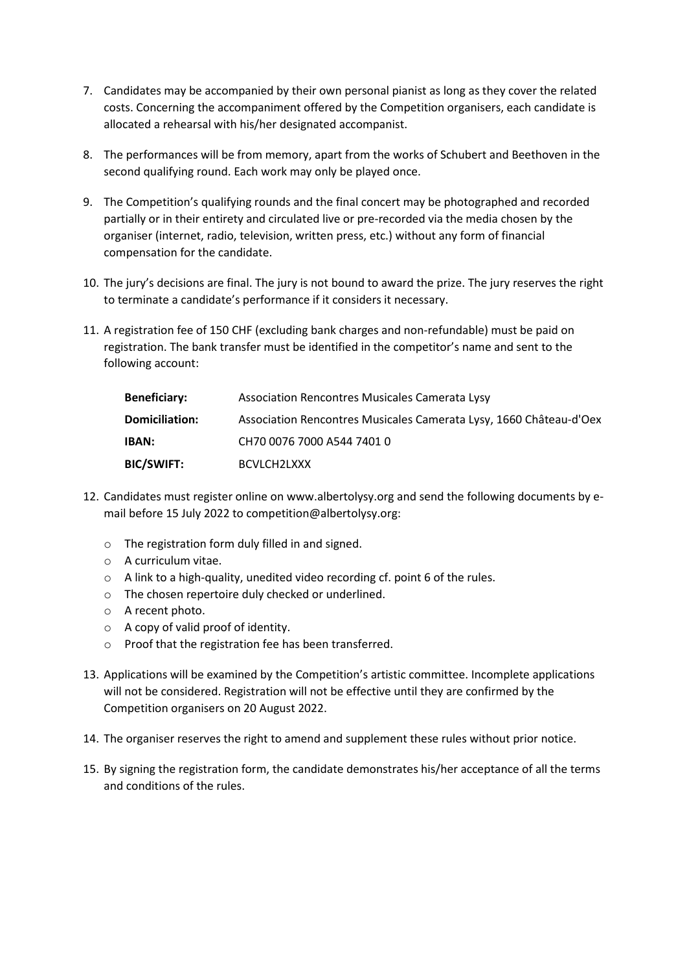- 7. Candidates may be accompanied by their own personal pianist as long as they cover the related costs. Concerning the accompaniment offered by the Competition organisers, each candidate is allocated a rehearsal with his/her designated accompanist.
- 8. The performances will be from memory, apart from the works of Schubert and Beethoven in the second qualifying round. Each work may only be played once.
- 9. The Competition's qualifying rounds and the final concert may be photographed and recorded partially or in their entirety and circulated live or pre-recorded via the media chosen by the organiser (internet, radio, television, written press, etc.) without any form of financial compensation for the candidate.
- 10. The jury's decisions are final. The jury is not bound to award the prize. The jury reserves the right to terminate a candidate's performance if it considers it necessary.
- 11. A registration fee of 150 CHF (excluding bank charges and non-refundable) must be paid on registration. The bank transfer must be identified in the competitor's name and sent to the following account:

| <b>Beneficiary:</b>   | Association Rencontres Musicales Camerata Lysy                     |
|-----------------------|--------------------------------------------------------------------|
| <b>Domiciliation:</b> | Association Rencontres Musicales Camerata Lysy, 1660 Château-d'Oex |
| IBAN:                 | CH70 0076 7000 A544 7401 0                                         |
| <b>BIC/SWIFT:</b>     | BCVLCH2LXXX                                                        |

- 12. Candidates must register online on www.albertolysy.org and send the following documents by email before 15 July 2022 to competition@albertolysy.org:
	- o The registration form duly filled in and signed.
	- o A curriculum vitae.
	- o A link to a high-quality, unedited video recording cf. point 6 of the rules.
	- o The chosen repertoire duly checked or underlined.
	- o A recent photo.
	- $\circ$  A copy of valid proof of identity.
	- o Proof that the registration fee has been transferred.
- 13. Applications will be examined by the Competition's artistic committee. Incomplete applications will not be considered. Registration will not be effective until they are confirmed by the Competition organisers on 20 August 2022.
- 14. The organiser reserves the right to amend and supplement these rules without prior notice.
- 15. By signing the registration form, the candidate demonstrates his/her acceptance of all the terms and conditions of the rules.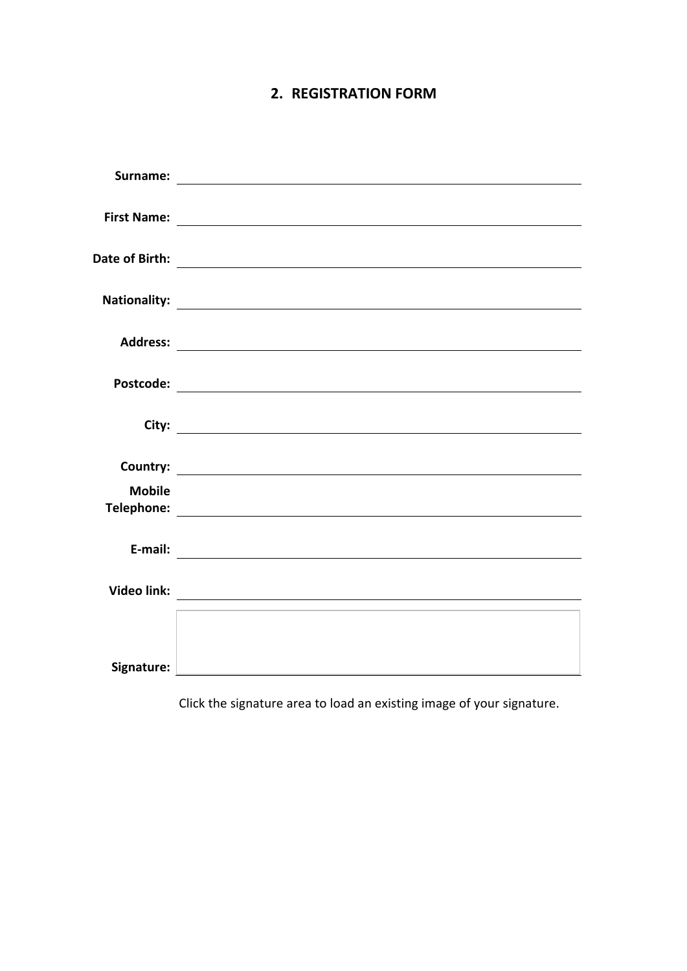## **2. REGISTRATION FORM**

|                 | Nationality: 1999                                                                                                      |
|-----------------|------------------------------------------------------------------------------------------------------------------------|
| <b>Address:</b> | <u> 1989 - Johann Barn, mars ann an t-Amhain ann an t-Amhain an t-Amhain an t-Amhain an t-Amhain an t-Amhain an t-</u> |
|                 |                                                                                                                        |
|                 |                                                                                                                        |
|                 |                                                                                                                        |
| <b>Mobile</b>   |                                                                                                                        |
|                 |                                                                                                                        |
|                 |                                                                                                                        |
|                 |                                                                                                                        |
|                 |                                                                                                                        |
| Signature:      |                                                                                                                        |

Click the signature area to load an existing image of your signature.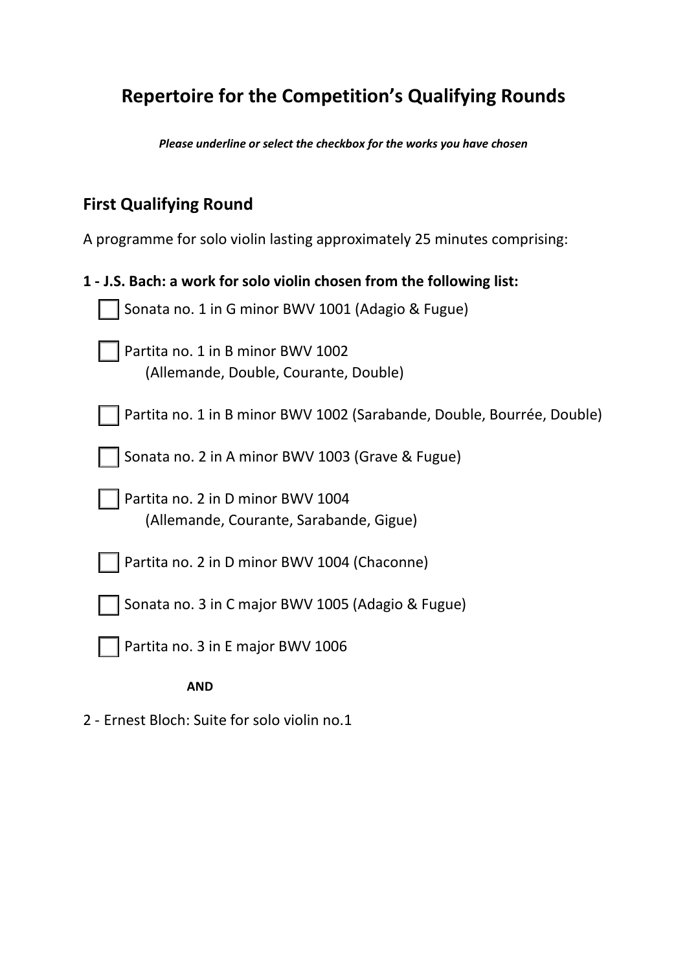# **Repertoire for the Competition's Qualifying Rounds**

*Please underline or select the checkbox for the works you have chosen*

# **First Qualifying Round**

A programme for solo violin lasting approximately 25 minutes comprising:

| 1 - J.S. Bach: a work for solo violin chosen from the following list:        |
|------------------------------------------------------------------------------|
| Sonata no. 1 in G minor BWV 1001 (Adagio & Fugue)                            |
| Partita no. 1 in B minor BWV 1002<br>(Allemande, Double, Courante, Double)   |
| Partita no. 1 in B minor BWV 1002 (Sarabande, Double, Bourrée, Double)       |
| Sonata no. 2 in A minor BWV 1003 (Grave & Fugue)                             |
| Partita no. 2 in D minor BWV 1004<br>(Allemande, Courante, Sarabande, Gigue) |
| Partita no. 2 in D minor BWV 1004 (Chaconne)                                 |
| Sonata no. 3 in C major BWV 1005 (Adagio & Fugue)                            |
| Partita no. 3 in E major BWV 1006                                            |
|                                                                              |

**AND**

2 - Ernest Bloch: Suite for solo violin no.1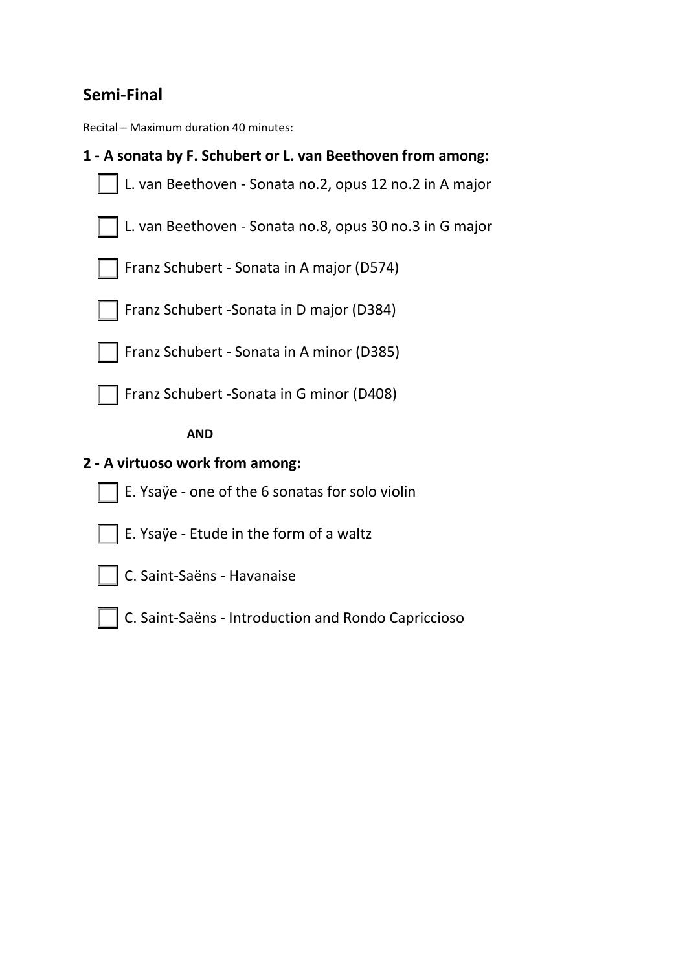# **Semi-Final**

Recital – Maximum duration 40 minutes:

## **1 - A sonata by F. Schubert or L. van Beethoven from among:**

L. van Beethoven - Sonata no.2, opus 12 no.2 in A major

L. van Beethoven - Sonata no.8, opus 30 no.3 in G major

Franz Schubert - Sonata in A major (D574)

□ Franz Schubert -Sonata in D major (D384)

Franz Schubert - Sonata in A minor (D385)

Franz Schubert -Sonata in G minor (D408)

### **AND**

## **2 - A virtuoso work from among:**

- $E.$  Ysaÿe one of the 6 sonatas for solo violin
- $\vert$  E. Ysaye Etude in the form of a waltz
- - C. Saint-Saëns Havanaise
	- C. Saint-Saëns Introduction and Rondo Capriccioso